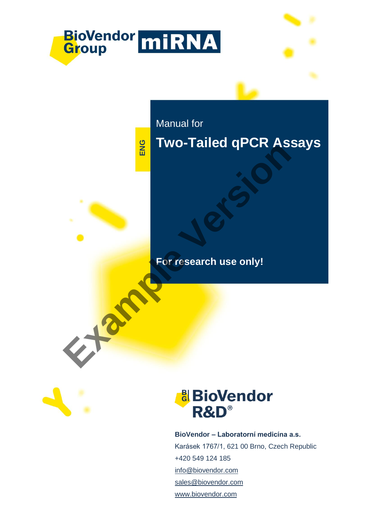

**For research use only!**



# **&**BioVendor R&D®

**BioVendor – Laboratorní medicína a.s.** Karásek 1767/1, 621 00 Brno, Czech Republic +420 549 124 185 [info@biovendor.com](mailto:info@biovendor.com) sales@biovendor.com [www.biovendor.co](https://www.biovendor.cz/)m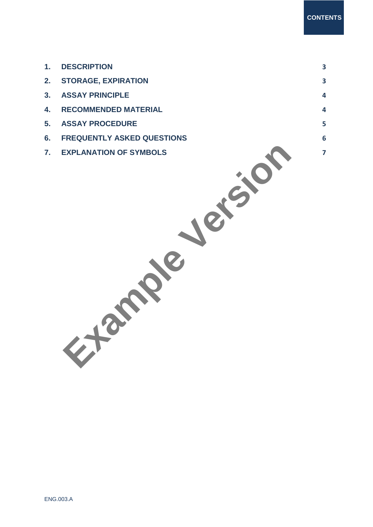| 1.             | <b>DESCRIPTION</b>                | $\overline{\mathbf{3}}$ |
|----------------|-----------------------------------|-------------------------|
| 2.             | <b>STORAGE, EXPIRATION</b>        | $\overline{\mathbf{3}}$ |
| 3.             | <b>ASSAY PRINCIPLE</b>            | $\overline{\mathbf{4}}$ |
| 4.             | <b>RECOMMENDED MATERIAL</b>       | $\overline{\mathbf{4}}$ |
| 5.             | <b>ASSAY PROCEDURE</b>            | 5 <sup>5</sup>          |
| 6.             | <b>FREQUENTLY ASKED QUESTIONS</b> | $6\phantom{a}$          |
| $\mathbf{7}$ . | <b>EXPLANATION OF SYMBOLS</b>     | $\overline{7}$          |
|                |                                   |                         |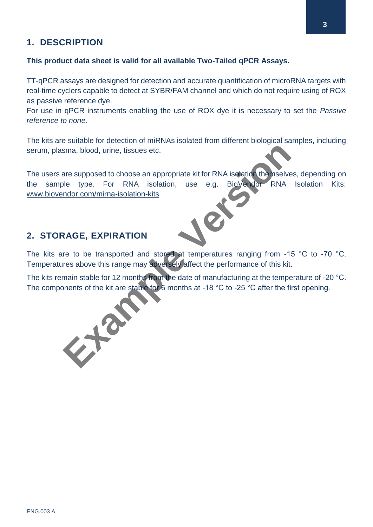## <span id="page-2-0"></span>**1. DESCRIPTION**

#### **This product data sheet is valid for all available Two-Tailed qPCR Assays.**

TT-qPCR assays are designed for detection and accurate quantification of microRNA targets with real-time cyclers capable to detect at SYBR/FAM channel and which do not require using of ROX as passive reference dye.

For use in qPCR instruments enabling the use of ROX dye it is necessary to set the *Passive reference to none.*

The kits are suitable for detection of miRNAs isolated from different biological samples, including serum, plasma, blood, urine, tissues etc.

The users are supposed to choose an appropriate kit for RNA isolation themselves, depending on the sample type. For RNA isolation, use e.g. BioVendor RNA Isolation Kits: www.biovendor.com/mirna-isolation-kits Serum, plasma, blood, urine, tissues etc.<br>
The users are supposed to choose an appropriate kit for RNA isolation<br>
the sample type. For RNA isolation, use e.g. BioVercom RNA Isolation<br>
<u>www.biovendor.com/mirma-isolation-kit</u>

### <span id="page-2-1"></span>**2. STORAGE, EXPIRATION**

The kits are to be transported and stored at temperatures ranging from -15 °C to -70 °C. Temperatures above this range may adversely affect the performance of this kit.

The kits remain stable for 12 months from the date of manufacturing at the temperature of -20 °C.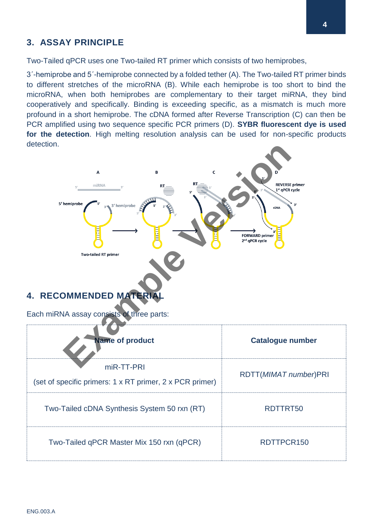# <span id="page-3-0"></span>**3. ASSAY PRINCIPLE**

Two-Tailed qPCR uses one Two-tailed RT primer which consists of two hemiprobes,

3´-hemiprobe and 5´-hemiprobe connected by a folded tether (A). The Two-tailed RT primer binds to different stretches of the microRNA (B). While each hemiprobe is too short to bind the microRNA, when both hemiprobes are complementary to their target miRNA, they bind cooperatively and specifically. Binding is exceeding specific, as a mismatch is much more profound in a short hemiprobe. The cDNA formed after Reverse Transcription (C) can then be PCR amplified using two sequence specific PCR primers (D). **SYBR fluorescent dye is used for the detection**. High melting resolution analysis can be used for non-specific products detection.



<span id="page-3-1"></span>

| <b>Name of product</b>                                                 | <b>Catalogue number</b> |
|------------------------------------------------------------------------|-------------------------|
| miR-TT-PRI<br>(set of specific primers: 1 x RT primer, 2 x PCR primer) | RDTT(MIMAT number)PRI   |
| Two-Tailed cDNA Synthesis System 50 rxn (RT)                           | RDTTRT50                |
| Two-Tailed qPCR Master Mix 150 rxn (qPCR)                              | RDTTPCR150              |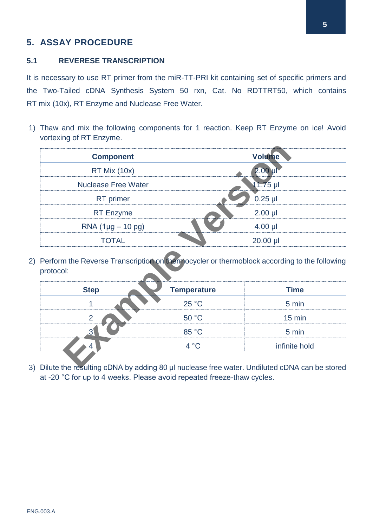# <span id="page-4-0"></span>**5. ASSAY PROCEDURE**

#### **5.1 REVERESE TRANSCRIPTION**

It is necessary to use RT primer from the miR-TT-PRI kit containing set of specific primers and the Two-Tailed cDNA Synthesis System 50 rxn, Cat. No RDTTRT50, which contains RT mix (10x), RT Enzyme and Nuclease Free Water.

1) Thaw and mix the following components for 1 reaction. Keep RT Enzyme on ice! Avoid vortexing of RT Enzyme.

| <b>Component</b>            |                                                                                             | <b>Volume</b>        |
|-----------------------------|---------------------------------------------------------------------------------------------|----------------------|
| RT Mix (10x)                |                                                                                             | $2.00$ µ             |
| <b>Nuclease Free Water</b>  |                                                                                             | 11.75 µl             |
| RT primer                   |                                                                                             | $0.25$ µl            |
| <b>RT</b> Enzyme            |                                                                                             | $2.00$ $\mu$         |
| $RNA (1 \mu g - 10 \rho g)$ |                                                                                             | $4.00$ µl            |
|                             |                                                                                             |                      |
| <b>TOTAL</b>                | Perform the Reverse Transcription on the mocycler or thermoblock according to the following | 20.00 µl             |
|                             |                                                                                             |                      |
| <b>Step</b>                 | <b>Temperature</b><br>25 °C                                                                 | <b>Time</b><br>5 min |
| $\overline{2}$              | 50 °C                                                                                       | $15$ min             |
| $\mathbf{3}$                | 85 °C                                                                                       | 5 min                |
| protocol:                   | 4 °C                                                                                        | infinite hold        |

| <b>Step</b> | <b>Temperature</b> | <b>Time</b>      |
|-------------|--------------------|------------------|
|             | 25 °C              | 5 min            |
| c           | 50 °C              | $15 \text{ min}$ |
|             | 85 °C              | 5 min            |
|             | 4 °C               | infinite hold    |

3) Dilute the resulting cDNA by adding 80 µl nuclease free water. Undiluted cDNA can be stored at -20 °C for up to 4 weeks. Please avoid repeated freeze -thaw cycles.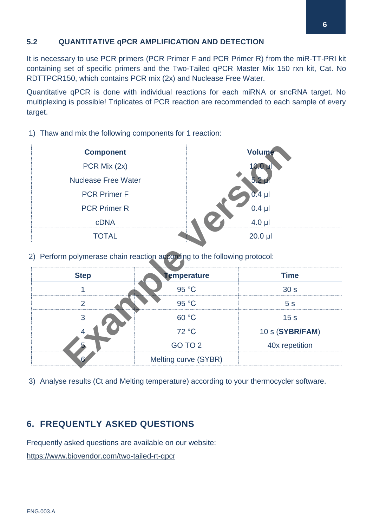#### **5.2 QUANTITATIVE qPCR AMPLIFICATION AND DETECTION**

It is necessary to use PCR primers (PCR Primer F and PCR Primer R) from the miR-TT-PRI kit containing set of specific primers and the Two-Tailed qPCR Master Mix 150 rxn kit, Cat. No RDTTPCR150, which contains PCR mix (2x) and Nuclease Free Water.

Quantitative qPCR is done with individual reactions for each miRNA or sncRNA target. No multiplexing is possible! Triplicates of PCR reaction are recommended to each sample of every target.

- **Component Volume** PCR Mix  $(2x)$  10.0  $\uparrow$  10.0  $\uparrow$ Nuclease Free Water 5.2 µ PCR Primer F 0.4 µl PCR Primer R 0.4 µl cDNA 4.0 µl TOTAL 20.0 µl
- 1) Thaw and mix the following components for 1 reaction:

| <b>Component</b>                                                          |                      | Volume           |  |  |  |
|---------------------------------------------------------------------------|----------------------|------------------|--|--|--|
| PCR Mix (2x)                                                              |                      | $10.0 \mu$       |  |  |  |
| <b>Nuclease Free Water</b>                                                |                      | 5.2 <sub>1</sub> |  |  |  |
| <b>PCR Primer F</b>                                                       |                      | $0.4$ µl         |  |  |  |
| <b>PCR Primer R</b>                                                       |                      | $0.4$ $\mu$      |  |  |  |
| <b>cDNA</b>                                                               |                      | $4.0$ µl         |  |  |  |
| <b>TOTAL</b>                                                              |                      | $20.0$ $\mu$     |  |  |  |
| 2) Perform polymerase chain reaction according to the following protocol: |                      |                  |  |  |  |
| <b>Step</b>                                                               | <b>Temperature</b>   | <b>Time</b>      |  |  |  |
| 1                                                                         | 95 °C                | 30 <sub>s</sub>  |  |  |  |
| $\overline{2}$                                                            | 95 °C                | 5 <sub>s</sub>   |  |  |  |
| 3                                                                         | 60 °C                | 15 <sub>s</sub>  |  |  |  |
| 4                                                                         | 72 °C                | 10 s (SYBR/FAM)  |  |  |  |
|                                                                           | GO TO 2              | 40x repetition   |  |  |  |
| 6                                                                         | Melting curve (SYBR) |                  |  |  |  |

3) Analyse results (Ct and Melting temperature) according to your thermocycler software.

## <span id="page-5-0"></span>**6. FREQUENTLY ASKED QUESTIONS**

Frequently asked questions are available on our website:

<https://www.biovendor.com/two-tailed-rt-qpcr>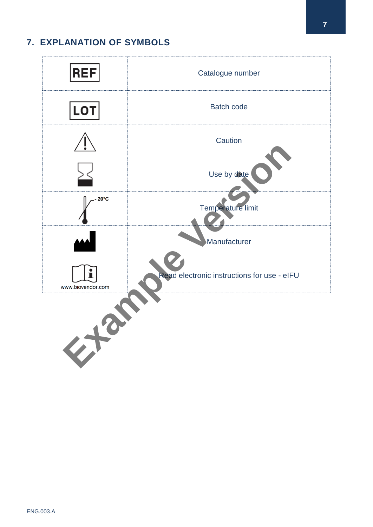# <span id="page-6-0"></span>**7. EXPLANATION OF SYMBOLS**